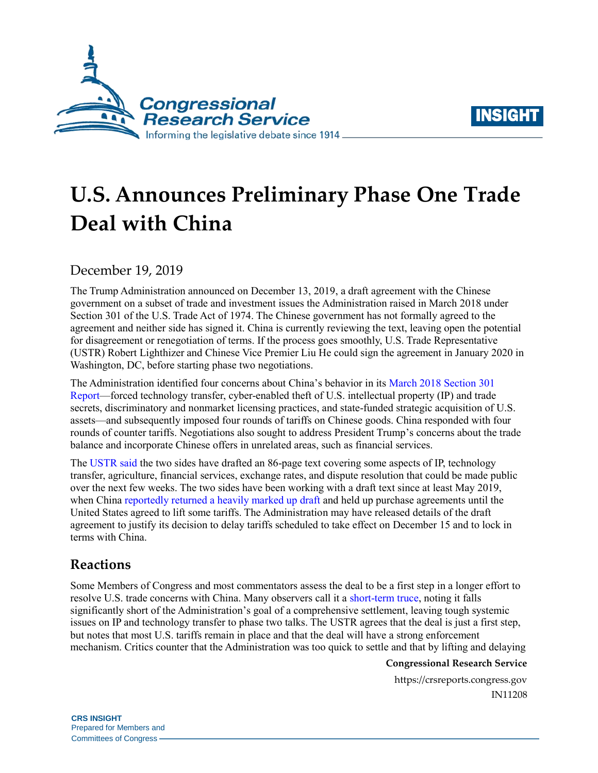



# **U.S. Announces Preliminary Phase One Trade Deal with China**

December 19, 2019

The Trump Administration announced on December 13, 2019, a draft agreement with the Chinese government on a subset of trade and investment issues the Administration raised in March 2018 under Section 301 of the U.S. Trade Act of 1974. The Chinese government has not formally agreed to the agreement and neither side has signed it. China is currently reviewing the text, leaving open the potential for disagreement or renegotiation of terms. If the process goes smoothly, U.S. Trade Representative (USTR) Robert Lighthizer and Chinese Vice Premier Liu He could sign the agreement in January 2020 in Washington, DC, before starting phase two negotiations.

The Administration identified four concerns about China's behavior in its [March 2018 Section 301](https://ustr.gov/sites/default/files/Section%20301%20FINAL.PDF)  [Report—](https://ustr.gov/sites/default/files/Section%20301%20FINAL.PDF)forced technology transfer, cyber-enabled theft of U.S. intellectual property (IP) and trade secrets, discriminatory and nonmarket licensing practices, and state-funded strategic acquisition of U.S. assets—and subsequently imposed four rounds of tariffs on Chinese goods. China responded with four rounds of counter tariffs. Negotiations also sought to address President Trump's concerns about the trade balance and incorporate Chinese offers in unrelated areas, such as financial services.

The [USTR said](https://ustr.gov/sites/default/files/US-China-Agreement-Fact-Sheet.pdf) the two sides have drafted an 86-page text covering some aspects of IP, technology transfer, agriculture, financial services, exchange rates, and dispute resolution that could be made public over the next few weeks. The two sides have been working with a draft text since at least May 2019, when China [reportedly returned a heavily marked up draft](https://www.politico.com/story/2019/05/06/stock-market-trump-china-tariff-threats-1412031) and held up purchase agreements until the United States agreed to lift some tariffs. The Administration may have released details of the draft agreement to justify its decision to delay tariffs scheduled to take effect on December 15 and to lock in terms with China.

# **Reactions**

Some Members of Congress and most commentators assess the deal to be a first step in a longer effort to resolve U.S. trade concerns with China. Many observers call it a [short-term truce,](https://www.washingtonpost.com/business/2019/12/12/trump-says-trade-deal-with-china-is-very-close-just-days-ahead-tariff-deadline/) noting it falls significantly short of the Administration's goal of a comprehensive settlement, leaving tough systemic issues on IP and technology transfer to phase two talks. The USTR agrees that the deal is just a first step, but notes that most U.S. tariffs remain in place and that the deal will have a strong enforcement mechanism. Critics counter that the Administration was too quick to settle and that by lifting and delaying

### **Congressional Research Service**

https://crsreports.congress.gov IN11208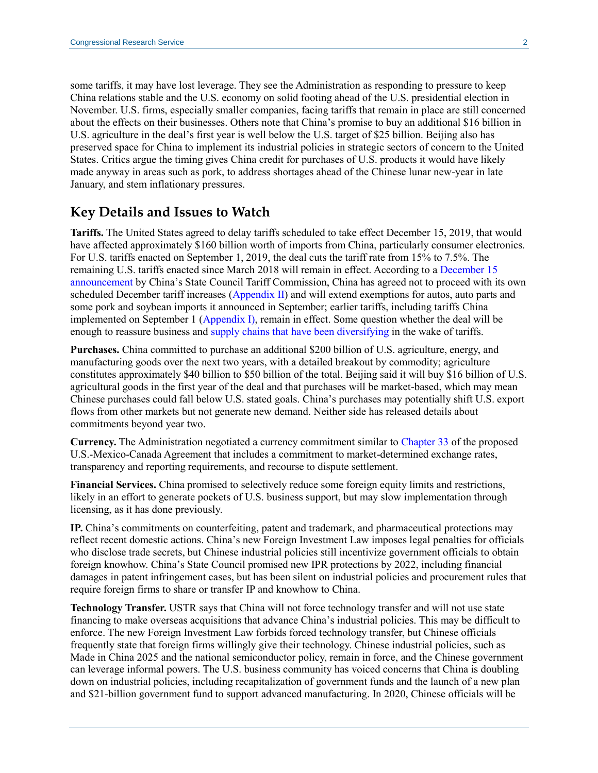some tariffs, it may have lost leverage. They see the Administration as responding to pressure to keep China relations stable and the U.S. economy on solid footing ahead of the U.S. presidential election in November. U.S. firms, especially smaller companies, facing tariffs that remain in place are still concerned about the effects on their businesses. Others note that China's promise to buy an additional \$16 billion in U.S. agriculture in the deal's first year is well below the U.S. target of \$25 billion. Beijing also has preserved space for China to implement its industrial policies in strategic sectors of concern to the United States. Critics argue the timing gives China credit for purchases of U.S. products it would have likely made anyway in areas such as pork, to address shortages ahead of the Chinese lunar new-year in late January, and stem inflationary pressures.

## **Key Details and Issues to Watch**

**Tariffs.** The United States agreed to delay tariffs scheduled to take effect December 15, 2019, that would have affected approximately \$160 billion worth of imports from China, particularly consumer electronics. For U.S. tariffs enacted on September 1, 2019, the deal cuts the tariff rate from 15% to 7.5%. The remaining U.S. tariffs enacted since March 2018 will remain in effect. According to [a December 15](http://gss.mof.gov.cn/zhengwuxinxi/zhengcefabu/201912/t20191215_3441954.html)  [announcement](http://gss.mof.gov.cn/zhengwuxinxi/zhengcefabu/201912/t20191215_3441954.html) by China's State Council Tariff Commission, China has agreed not to proceed with its own scheduled December tariff increases [\(Appendix II\)](http://gss.mof.gov.cn/zhengwuxinxi/zhengcefabu/201908/P020190823604939266141.pdf) and will extend exemptions for autos, auto parts and some pork and soybean imports it announced in September; earlier tariffs, including tariffs China implemented on September 1 [\(Appendix I\)](http://gss.mof.gov.cn/zhengwuxinxi/zhengcefabu/201908/P020190823604938915640.pdf), remain in effect. Some question whether the deal will be enough to reassure business and [supply chains that have been diversifying](https://www.cnbc.com/2019/09/01/trump-ordered-us-firms-to-ditch-china-but-many-already-have.html) in the wake of tariffs.

**Purchases.** China committed to purchase an additional \$200 billion of U.S. agriculture, energy, and manufacturing goods over the next two years, with a detailed breakout by commodity; agriculture constitutes approximately \$40 billion to \$50 billion of the total. Beijing said it will buy \$16 billion of U.S. agricultural goods in the first year of the deal and that purchases will be market-based, which may mean Chinese purchases could fall below U.S. stated goals. China's purchases may potentially shift U.S. export flows from other markets but not generate new demand. Neither side has released details about commitments beyond year two.

**Currency.** The Administration negotiated a currency commitment similar t[o Chapter 33](https://ustr.gov/sites/default/files/files/agreements/FTA/USMCA/Text/33_Macroeconomic_Policies_and_Exchange_Rate_Matters.pdf) of the proposed U.S.-Mexico-Canada Agreement that includes a commitment to market-determined exchange rates, transparency and reporting requirements, and recourse to dispute settlement.

**Financial Services.** China promised to selectively reduce some foreign equity limits and restrictions, likely in an effort to generate pockets of U.S. business support, but may slow implementation through licensing, as it has done previously.

**IP.** China's commitments on counterfeiting, patent and trademark, and pharmaceutical protections may reflect recent domestic actions. China's new Foreign Investment Law imposes legal penalties for officials who disclose trade secrets, but Chinese industrial policies still incentivize government officials to obtain foreign knowhow. China's State Council promised new IPR protections by 2022, including financial damages in patent infringement cases, but has been silent on industrial policies and procurement rules that require foreign firms to share or transfer IP and knowhow to China.

**Technology Transfer.** USTR says that China will not force technology transfer and will not use state financing to make overseas acquisitions that advance China's industrial policies. This may be difficult to enforce. The new Foreign Investment Law forbids forced technology transfer, but Chinese officials frequently state that foreign firms willingly give their technology. Chinese industrial policies, such as Made in China 2025 and the national semiconductor policy, remain in force, and the Chinese government can leverage informal powers. The U.S. business community has voiced concerns that China is doubling down on industrial policies, including recapitalization of government funds and the launch of a new plan and \$21-billion government fund to support advanced manufacturing. In 2020, Chinese officials will be